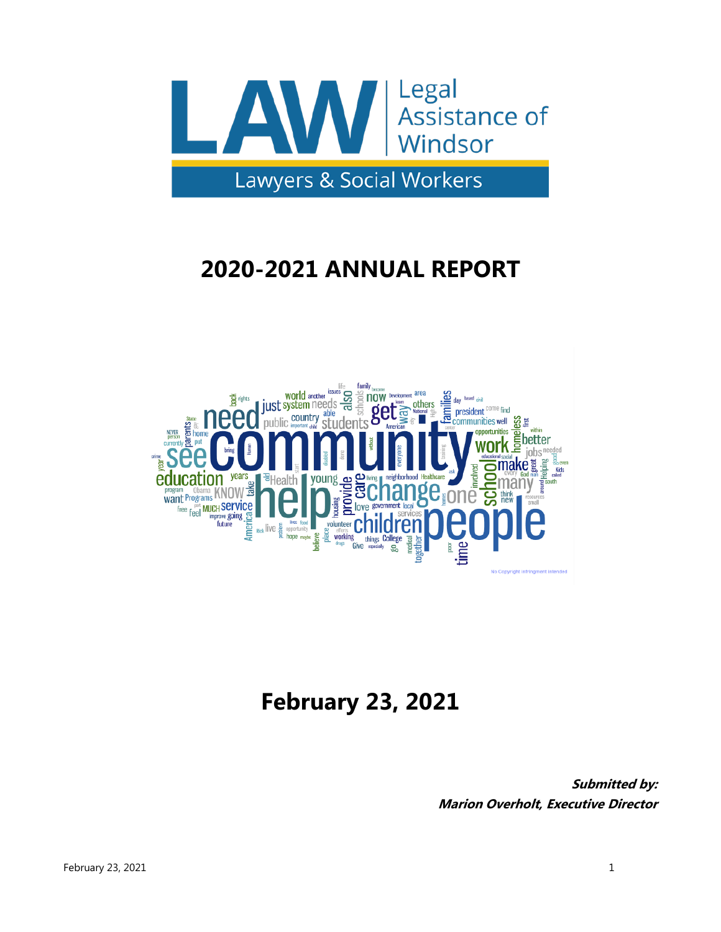

# **2020-2021 ANNUAL REPORT**



# **February 23, 2021**

**Submitted by: Marion Overholt, Executive Director**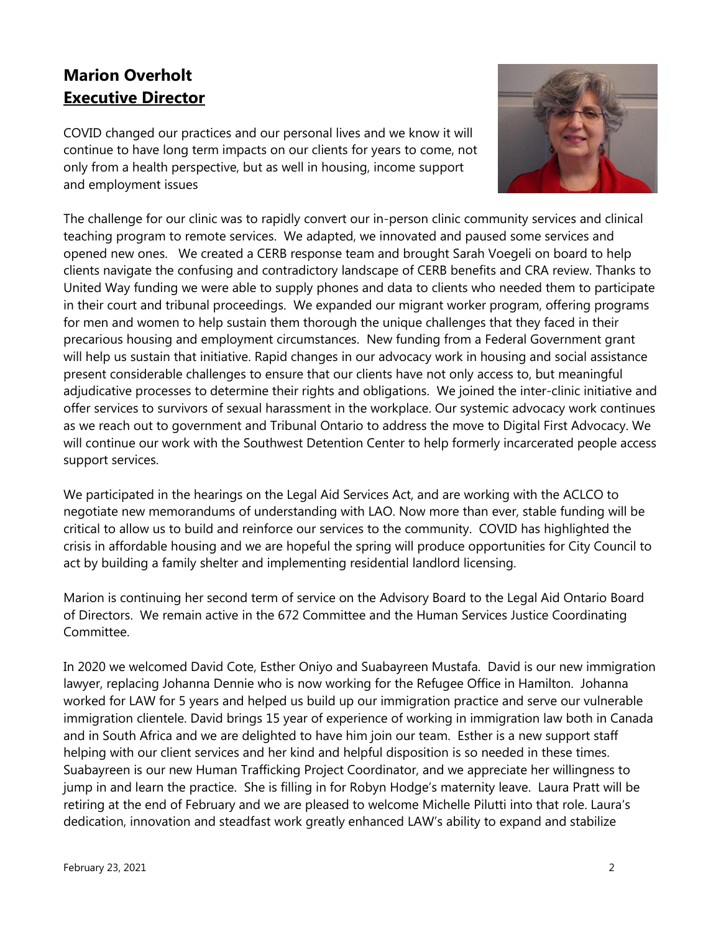## **Marion Overholt Executive Director**

COVID changed our practices and our personal lives and we know it will continue to have long term impacts on our clients for years to come, not only from a health perspective, but as well in housing, income support and employment issues



The challenge for our clinic was to rapidly convert our in-person clinic community services and clinical teaching program to remote services. We adapted, we innovated and paused some services and opened new ones. We created a CERB response team and brought Sarah Voegeli on board to help clients navigate the confusing and contradictory landscape of CERB benefits and CRA review. Thanks to United Way funding we were able to supply phones and data to clients who needed them to participate in their court and tribunal proceedings. We expanded our migrant worker program, offering programs for men and women to help sustain them thorough the unique challenges that they faced in their precarious housing and employment circumstances. New funding from a Federal Government grant will help us sustain that initiative. Rapid changes in our advocacy work in housing and social assistance present considerable challenges to ensure that our clients have not only access to, but meaningful adjudicative processes to determine their rights and obligations. We joined the inter-clinic initiative and offer services to survivors of sexual harassment in the workplace. Our systemic advocacy work continues as we reach out to government and Tribunal Ontario to address the move to Digital First Advocacy. We will continue our work with the Southwest Detention Center to help formerly incarcerated people access support services.

We participated in the hearings on the Legal Aid Services Act, and are working with the ACLCO to negotiate new memorandums of understanding with LAO. Now more than ever, stable funding will be critical to allow us to build and reinforce our services to the community. COVID has highlighted the crisis in affordable housing and we are hopeful the spring will produce opportunities for City Council to act by building a family shelter and implementing residential landlord licensing.

Marion is continuing her second term of service on the Advisory Board to the Legal Aid Ontario Board of Directors. We remain active in the 672 Committee and the Human Services Justice Coordinating Committee.

In 2020 we welcomed David Cote, Esther Oniyo and Suabayreen Mustafa. David is our new immigration lawyer, replacing Johanna Dennie who is now working for the Refugee Office in Hamilton. Johanna worked for LAW for 5 years and helped us build up our immigration practice and serve our vulnerable immigration clientele. David brings 15 year of experience of working in immigration law both in Canada and in South Africa and we are delighted to have him join our team. Esther is a new support staff helping with our client services and her kind and helpful disposition is so needed in these times. Suabayreen is our new Human Trafficking Project Coordinator, and we appreciate her willingness to jump in and learn the practice. She is filling in for Robyn Hodge's maternity leave. Laura Pratt will be retiring at the end of February and we are pleased to welcome Michelle Pilutti into that role. Laura's dedication, innovation and steadfast work greatly enhanced LAW's ability to expand and stabilize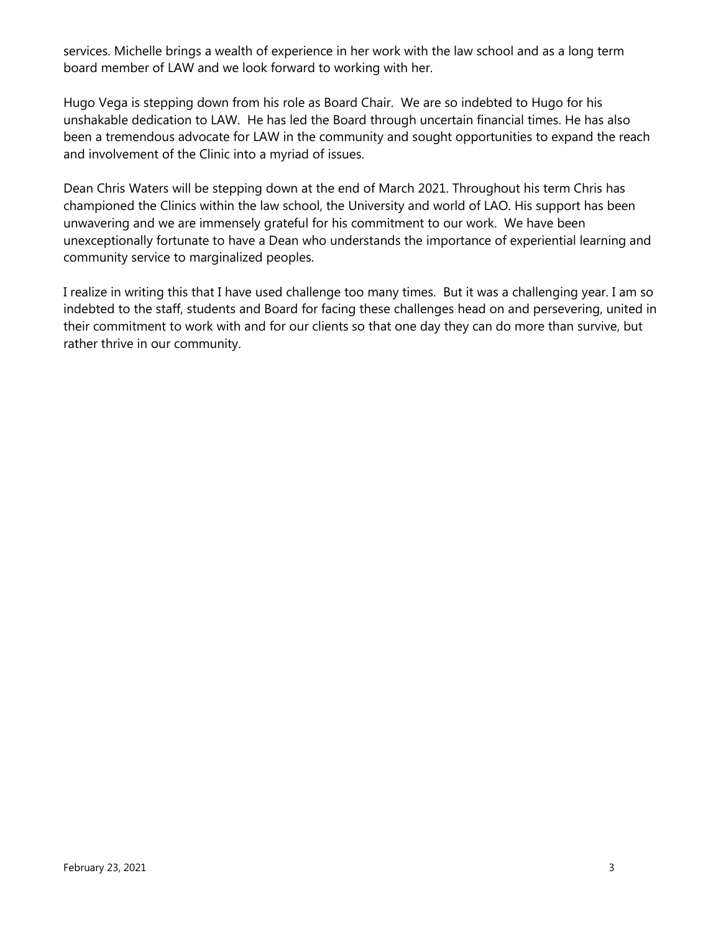services. Michelle brings a wealth of experience in her work with the law school and as a long term board member of LAW and we look forward to working with her.

Hugo Vega is stepping down from his role as Board Chair. We are so indebted to Hugo for his unshakable dedication to LAW. He has led the Board through uncertain financial times. He has also been a tremendous advocate for LAW in the community and sought opportunities to expand the reach and involvement of the Clinic into a myriad of issues.

Dean Chris Waters will be stepping down at the end of March 2021. Throughout his term Chris has championed the Clinics within the law school, the University and world of LAO. His support has been unwavering and we are immensely grateful for his commitment to our work. We have been unexceptionally fortunate to have a Dean who understands the importance of experiential learning and community service to marginalized peoples.

I realize in writing this that I have used challenge too many times. But it was a challenging year. I am so indebted to the staff, students and Board for facing these challenges head on and persevering, united in their commitment to work with and for our clients so that one day they can do more than survive, but rather thrive in our community.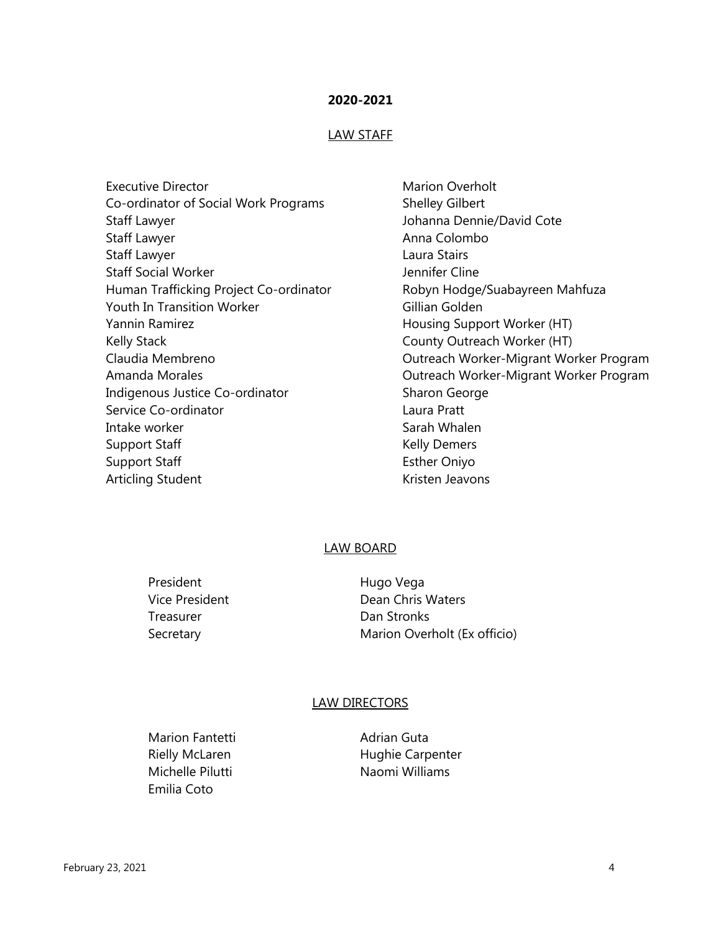#### **2020-2021**

#### LAW STAFF

| <b>Executive Director</b>              |
|----------------------------------------|
| Co-ordinator of Social Work Programs   |
| Staff Lawyer                           |
| Staff Lawyer                           |
| <b>Staff Lawyer</b>                    |
| <b>Staff Social Worker</b>             |
| Human Trafficking Project Co-ordinator |
| <b>Youth In Transition Worker</b>      |
| Yannin Ramirez                         |
| <b>Kelly Stack</b>                     |
| Claudia Membreno                       |
| Amanda Morales                         |
| Indigenous Justice Co-ordinator        |
| Service Co-ordinator                   |
| Intake worker                          |
| <b>Support Staff</b>                   |
| <b>Support Staff</b>                   |
| <b>Articling Student</b>               |

**Marion Overholt** Shelley Gilbert Johanna Dennie/David Cote Anna Colombo Laura Stairs Jennifer Cline Robyn Hodge/Suabayreen Mahfuza Gillian Golden Housing Support Worker (HT) County Outreach Worker (HT) Outreach Worker-Migrant Worker Program Outreach Worker-Migrant Worker Program Sharon George Laura Pratt Sarah Whalen Kelly Demers Esther Oniyo Kristen Jeavons

#### LAW BOARD

President Hugo Vega Treasurer **Dan Stronks** 

Vice President **Dean Chris Waters** Secretary Marion Overholt (Ex officio)

#### LAW DIRECTORS

Marion Fantetti **Adrian Guta** Emilia Coto

Rielly McLaren **Hughie Carpenter** Michelle Pilutti Naomi Williams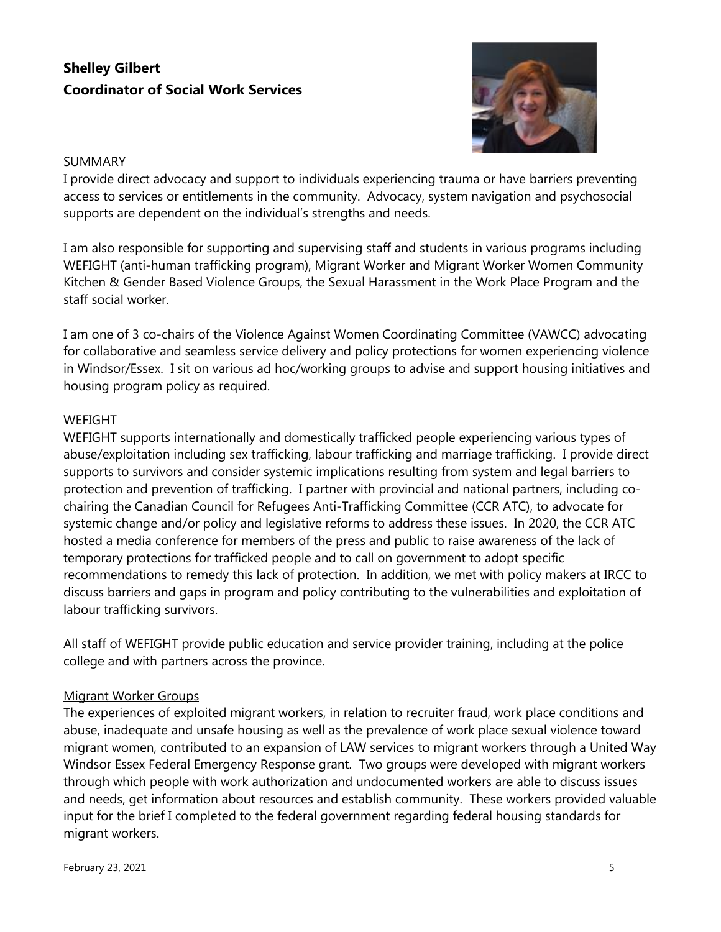## **Shelley Gilbert Coordinator of Social Work Services**



#### **SUMMARY**

I provide direct advocacy and support to individuals experiencing trauma or have barriers preventing access to services or entitlements in the community. Advocacy, system navigation and psychosocial supports are dependent on the individual's strengths and needs.

I am also responsible for supporting and supervising staff and students in various programs including WEFIGHT (anti-human trafficking program), Migrant Worker and Migrant Worker Women Community Kitchen & Gender Based Violence Groups, the Sexual Harassment in the Work Place Program and the staff social worker.

I am one of 3 co-chairs of the Violence Against Women Coordinating Committee (VAWCC) advocating for collaborative and seamless service delivery and policy protections for women experiencing violence in Windsor/Essex. I sit on various ad hoc/working groups to advise and support housing initiatives and housing program policy as required.

#### **WEFIGHT**

WEFIGHT supports internationally and domestically trafficked people experiencing various types of abuse/exploitation including sex trafficking, labour trafficking and marriage trafficking. I provide direct supports to survivors and consider systemic implications resulting from system and legal barriers to protection and prevention of trafficking. I partner with provincial and national partners, including cochairing the Canadian Council for Refugees Anti-Trafficking Committee (CCR ATC), to advocate for systemic change and/or policy and legislative reforms to address these issues. In 2020, the CCR ATC hosted a media conference for members of the press and public to raise awareness of the lack of temporary protections for trafficked people and to call on government to adopt specific recommendations to remedy this lack of protection. In addition, we met with policy makers at IRCC to discuss barriers and gaps in program and policy contributing to the vulnerabilities and exploitation of labour trafficking survivors.

All staff of WEFIGHT provide public education and service provider training, including at the police college and with partners across the province.

#### Migrant Worker Groups

The experiences of exploited migrant workers, in relation to recruiter fraud, work place conditions and abuse, inadequate and unsafe housing as well as the prevalence of work place sexual violence toward migrant women, contributed to an expansion of LAW services to migrant workers through a United Way Windsor Essex Federal Emergency Response grant. Two groups were developed with migrant workers through which people with work authorization and undocumented workers are able to discuss issues and needs, get information about resources and establish community. These workers provided valuable input for the brief I completed to the federal government regarding federal housing standards for migrant workers.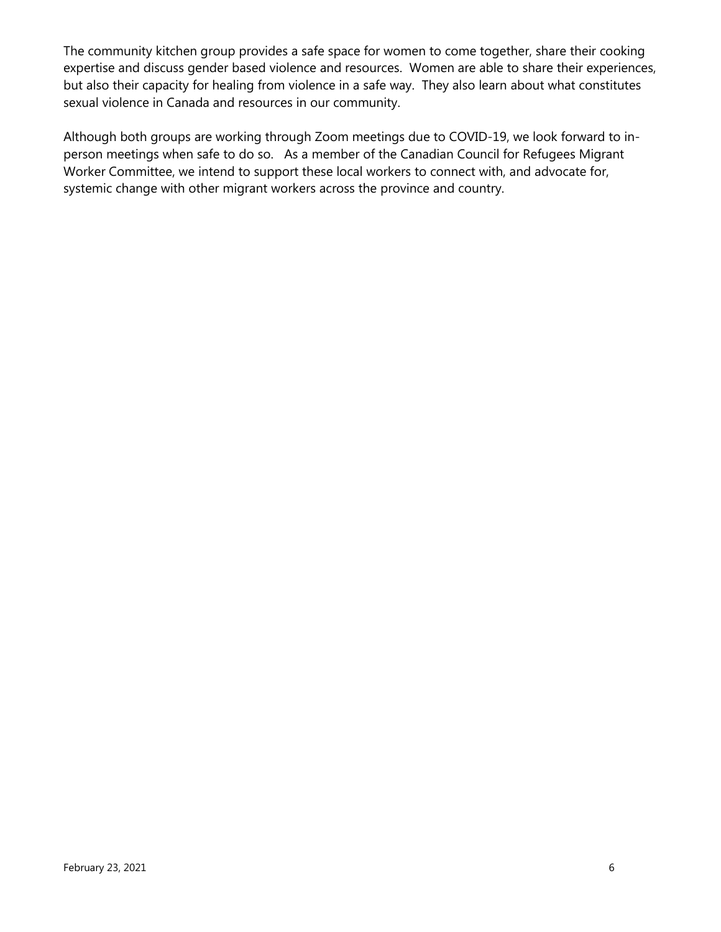The community kitchen group provides a safe space for women to come together, share their cooking expertise and discuss gender based violence and resources. Women are able to share their experiences, but also their capacity for healing from violence in a safe way. They also learn about what constitutes sexual violence in Canada and resources in our community.

Although both groups are working through Zoom meetings due to COVID-19, we look forward to inperson meetings when safe to do so. As a member of the Canadian Council for Refugees Migrant Worker Committee, we intend to support these local workers to connect with, and advocate for, systemic change with other migrant workers across the province and country.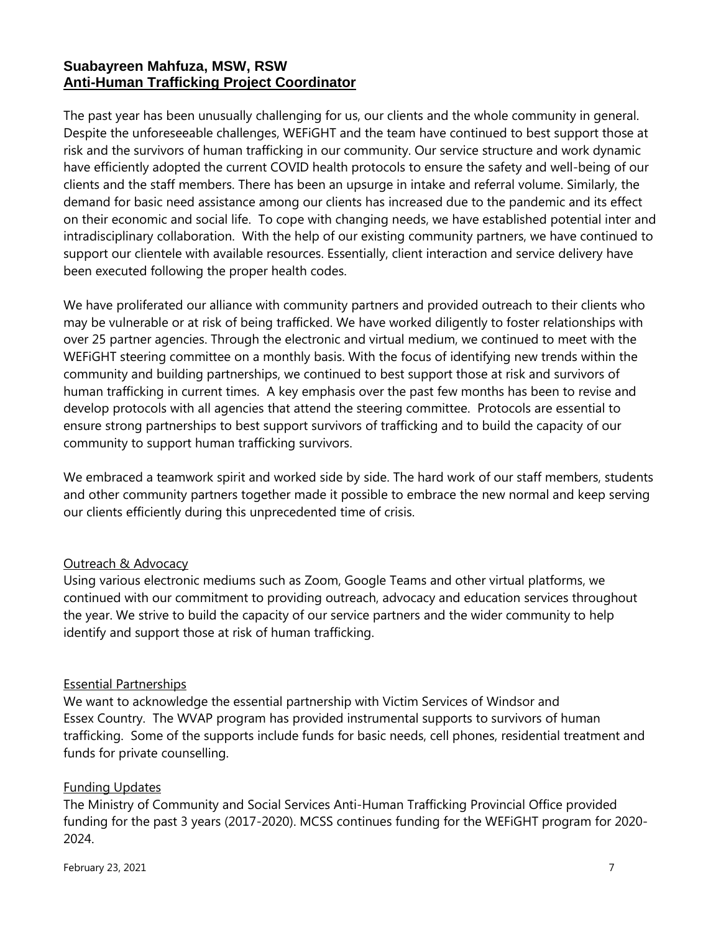## **Suabayreen Mahfuza, MSW, RSW Anti-Human Trafficking Project Coordinator**

The past year has been unusually challenging for us, our clients and the whole community in general. Despite the unforeseeable challenges, WEFiGHT and the team have continued to best support those at risk and the survivors of human trafficking in our community. Our service structure and work dynamic have efficiently adopted the current COVID health protocols to ensure the safety and well-being of our clients and the staff members. There has been an upsurge in intake and referral volume. Similarly, the demand for basic need assistance among our clients has increased due to the pandemic and its effect on their economic and social life. To cope with changing needs, we have established potential inter and intradisciplinary collaboration. With the help of our existing community partners, we have continued to support our clientele with available resources. Essentially, client interaction and service delivery have been executed following the proper health codes.

We have proliferated our alliance with community partners and provided outreach to their clients who may be vulnerable or at risk of being trafficked. We have worked diligently to foster relationships with over 25 partner agencies. Through the electronic and virtual medium, we continued to meet with the WEFiGHT steering committee on a monthly basis. With the focus of identifying new trends within the community and building partnerships, we continued to best support those at risk and survivors of human trafficking in current times. A key emphasis over the past few months has been to revise and develop protocols with all agencies that attend the steering committee. Protocols are essential to ensure strong partnerships to best support survivors of trafficking and to build the capacity of our community to support human trafficking survivors.

We embraced a teamwork spirit and worked side by side. The hard work of our staff members, students and other community partners together made it possible to embrace the new normal and keep serving our clients efficiently during this unprecedented time of crisis.

#### Outreach & Advocacy

Using various electronic mediums such as Zoom, Google Teams and other virtual platforms, we continued with our commitment to providing outreach, advocacy and education services throughout the year. We strive to build the capacity of our service partners and the wider community to help identify and support those at risk of human trafficking.

#### Essential Partnerships

We want to acknowledge the essential partnership with Victim Services of Windsor and Essex Country. The WVAP program has provided instrumental supports to survivors of human trafficking. Some of the supports include funds for basic needs, cell phones, residential treatment and funds for private counselling.

#### Funding Updates

The Ministry of Community and Social Services Anti-Human Trafficking Provincial Office provided funding for the past 3 years (2017-2020). MCSS continues funding for the WEFiGHT program for 2020- 2024.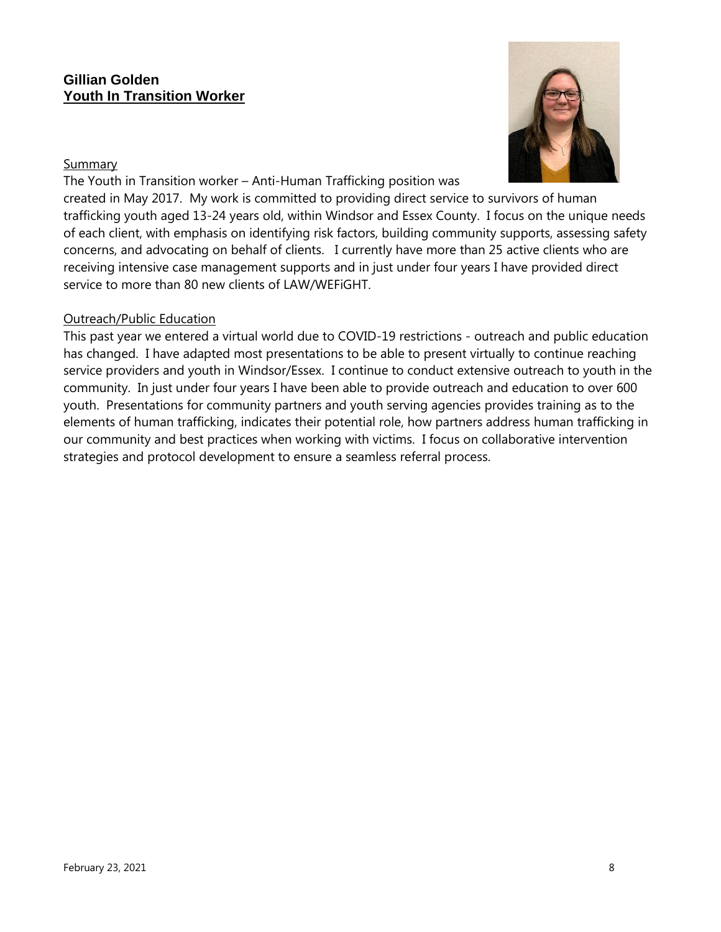#### **Gillian Golden Youth In Transition Worker**

#### Summary



The Youth in Transition worker – Anti-Human Trafficking position was created in May 2017. My work is committed to providing direct service to survivors of human trafficking youth aged 13-24 years old, within Windsor and Essex County. I focus on the unique needs of each client, with emphasis on identifying risk factors, building community supports, assessing safety concerns, and advocating on behalf of clients. I currently have more than 25 active clients who are receiving intensive case management supports and in just under four years I have provided direct service to more than 80 new clients of LAW/WEFiGHT.

#### Outreach/Public Education

This past year we entered a virtual world due to COVID-19 restrictions - outreach and public education has changed. I have adapted most presentations to be able to present virtually to continue reaching service providers and youth in Windsor/Essex. I continue to conduct extensive outreach to youth in the community. In just under four years I have been able to provide outreach and education to over 600 youth. Presentations for community partners and youth serving agencies provides training as to the elements of human trafficking, indicates their potential role, how partners address human trafficking in our community and best practices when working with victims. I focus on collaborative intervention strategies and protocol development to ensure a seamless referral process.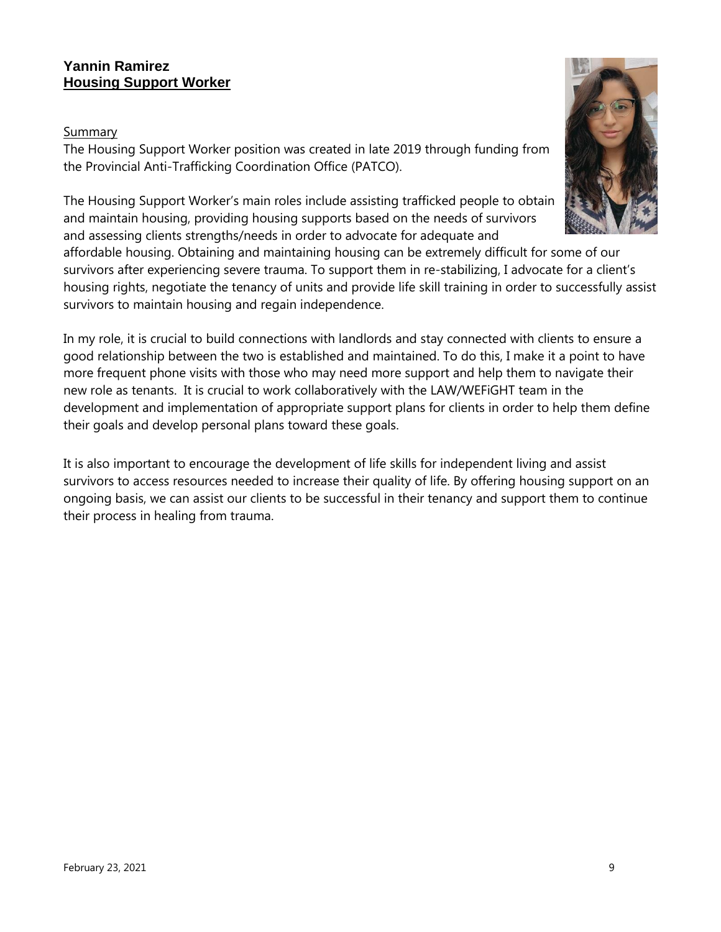## **Yannin Ramirez Housing Support Worker**

### Summary

The Housing Support Worker position was created in late 2019 through funding from the Provincial Anti-Trafficking Coordination Office (PATCO).

The Housing Support Worker's main roles include assisting trafficked people to obtain and maintain housing, providing housing supports based on the needs of survivors and assessing clients strengths/needs in order to advocate for adequate and

affordable housing. Obtaining and maintaining housing can be extremely difficult for some of our survivors after experiencing severe trauma. To support them in re-stabilizing, I advocate for a client's housing rights, negotiate the tenancy of units and provide life skill training in order to successfully assist survivors to maintain housing and regain independence.

In my role, it is crucial to build connections with landlords and stay connected with clients to ensure a good relationship between the two is established and maintained. To do this, I make it a point to have more frequent phone visits with those who may need more support and help them to navigate their new role as tenants. It is crucial to work collaboratively with the LAW/WEFiGHT team in the development and implementation of appropriate support plans for clients in order to help them define their goals and develop personal plans toward these goals.

It is also important to encourage the development of life skills for independent living and assist survivors to access resources needed to increase their quality of life. By offering housing support on an ongoing basis, we can assist our clients to be successful in their tenancy and support them to continue their process in healing from trauma.

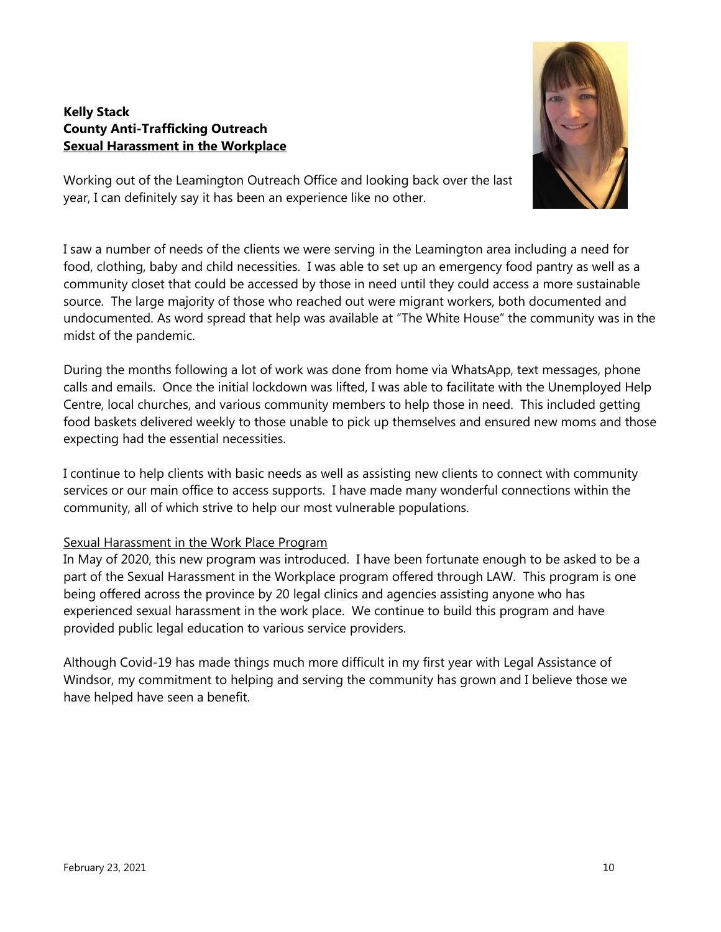#### **Kelly Stack County Anti-Trafficking Outreach Sexual Harassment in the Workplace**



Working out of the Leamington Outreach Office and looking back over the last year, I can definitely say it has been an experience like no other.

I saw a number of needs of the clients we were serving in the Leamington area including a need for food, clothing, baby and child necessities. I was able to set up an emergency food pantry as well as a community closet that could be accessed by those in need until they could access a more sustainable source. The large majority of those who reached out were migrant workers, both documented and undocumented. As word spread that help was available at "The White House" the community was in the midst of the pandemic.

During the months following a lot of work was done from home via WhatsApp, text messages, phone calls and emails. Once the initial lockdown was lifted, I was able to facilitate with the Unemployed Help Centre, local churches, and various community members to help those in need. This included getting food baskets delivered weekly to those unable to pick up themselves and ensured new moms and those expecting had the essential necessities.

I continue to help clients with basic needs as well as assisting new clients to connect with community services or our main office to access supports. I have made many wonderful connections within the community, all of which strive to help our most vulnerable populations.

#### Sexual Harassment in the Work Place Program

In May of 2020, this new program was introduced. I have been fortunate enough to be asked to be a part of the Sexual Harassment in the Workplace program offered through LAW. This program is one being offered across the province by 20 legal clinics and agencies assisting anyone who has experienced sexual harassment in the work place. We continue to build this program and have provided public legal education to various service providers.

Although Covid-19 has made things much more difficult in my first year with Legal Assistance of Windsor, my commitment to helping and serving the community has grown and I believe those we have helped have seen a benefit.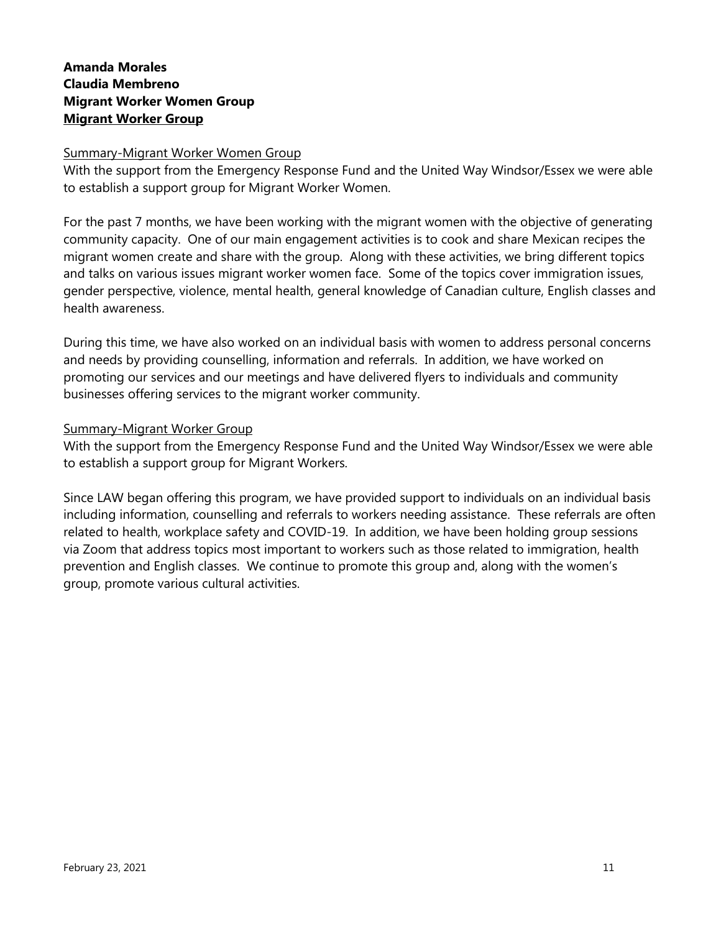## **Amanda Morales Claudia Membreno Migrant Worker Women Group Migrant Worker Group**

#### Summary-Migrant Worker Women Group

With the support from the Emergency Response Fund and the United Way Windsor/Essex we were able to establish a support group for Migrant Worker Women.

For the past 7 months, we have been working with the migrant women with the objective of generating community capacity. One of our main engagement activities is to cook and share Mexican recipes the migrant women create and share with the group. Along with these activities, we bring different topics and talks on various issues migrant worker women face. Some of the topics cover immigration issues, gender perspective, violence, mental health, general knowledge of Canadian culture, English classes and health awareness.

During this time, we have also worked on an individual basis with women to address personal concerns and needs by providing counselling, information and referrals. In addition, we have worked on promoting our services and our meetings and have delivered flyers to individuals and community businesses offering services to the migrant worker community.

#### Summary-Migrant Worker Group

With the support from the Emergency Response Fund and the United Way Windsor/Essex we were able to establish a support group for Migrant Workers.

Since LAW began offering this program, we have provided support to individuals on an individual basis including information, counselling and referrals to workers needing assistance. These referrals are often related to health, workplace safety and COVID-19. In addition, we have been holding group sessions via Zoom that address topics most important to workers such as those related to immigration, health prevention and English classes. We continue to promote this group and, along with the women's group, promote various cultural activities.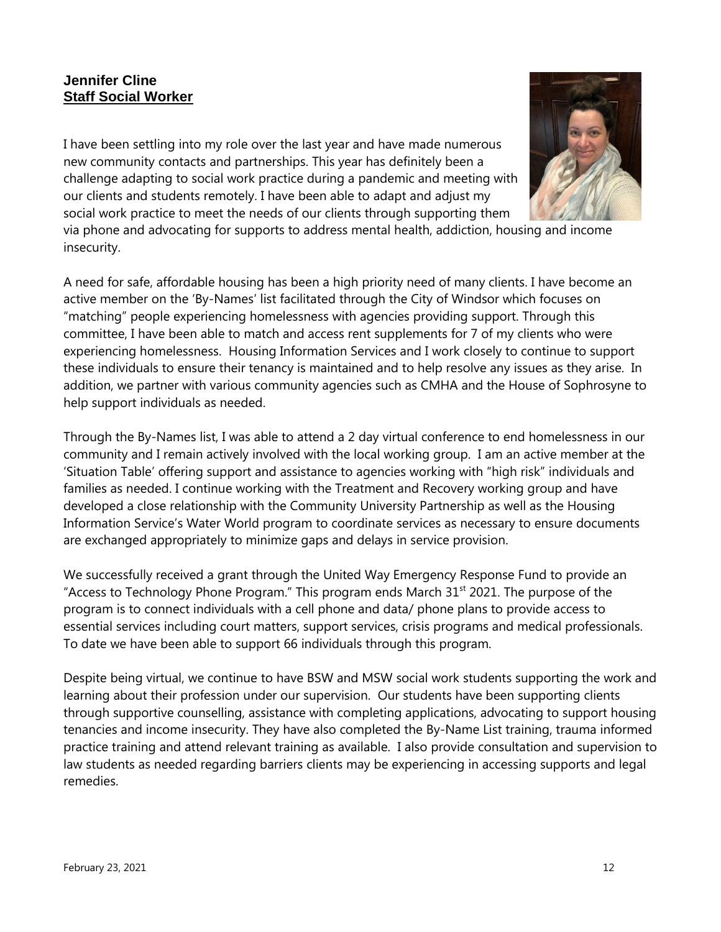## **Jennifer Cline Staff Social Worker**

I have been settling into my role over the last year and have made numerous new community contacts and partnerships. This year has definitely been a challenge adapting to social work practice during a pandemic and meeting with our clients and students remotely. I have been able to adapt and adjust my social work practice to meet the needs of our clients through supporting them



via phone and advocating for supports to address mental health, addiction, housing and income insecurity.

A need for safe, affordable housing has been a high priority need of many clients. I have become an active member on the 'By-Names' list facilitated through the City of Windsor which focuses on "matching" people experiencing homelessness with agencies providing support. Through this committee, I have been able to match and access rent supplements for 7 of my clients who were experiencing homelessness. Housing Information Services and I work closely to continue to support these individuals to ensure their tenancy is maintained and to help resolve any issues as they arise. In addition, we partner with various community agencies such as CMHA and the House of Sophrosyne to help support individuals as needed.

Through the By-Names list, I was able to attend a 2 day virtual conference to end homelessness in our community and I remain actively involved with the local working group. I am an active member at the 'Situation Table' offering support and assistance to agencies working with "high risk" individuals and families as needed. I continue working with the Treatment and Recovery working group and have developed a close relationship with the Community University Partnership as well as the Housing Information Service's Water World program to coordinate services as necessary to ensure documents are exchanged appropriately to minimize gaps and delays in service provision.

We successfully received a grant through the United Way Emergency Response Fund to provide an "Access to Technology Phone Program." This program ends March  $31<sup>st</sup> 2021$ . The purpose of the program is to connect individuals with a cell phone and data/ phone plans to provide access to essential services including court matters, support services, crisis programs and medical professionals. To date we have been able to support 66 individuals through this program.

Despite being virtual, we continue to have BSW and MSW social work students supporting the work and learning about their profession under our supervision. Our students have been supporting clients through supportive counselling, assistance with completing applications, advocating to support housing tenancies and income insecurity. They have also completed the By-Name List training, trauma informed practice training and attend relevant training as available. I also provide consultation and supervision to law students as needed regarding barriers clients may be experiencing in accessing supports and legal remedies.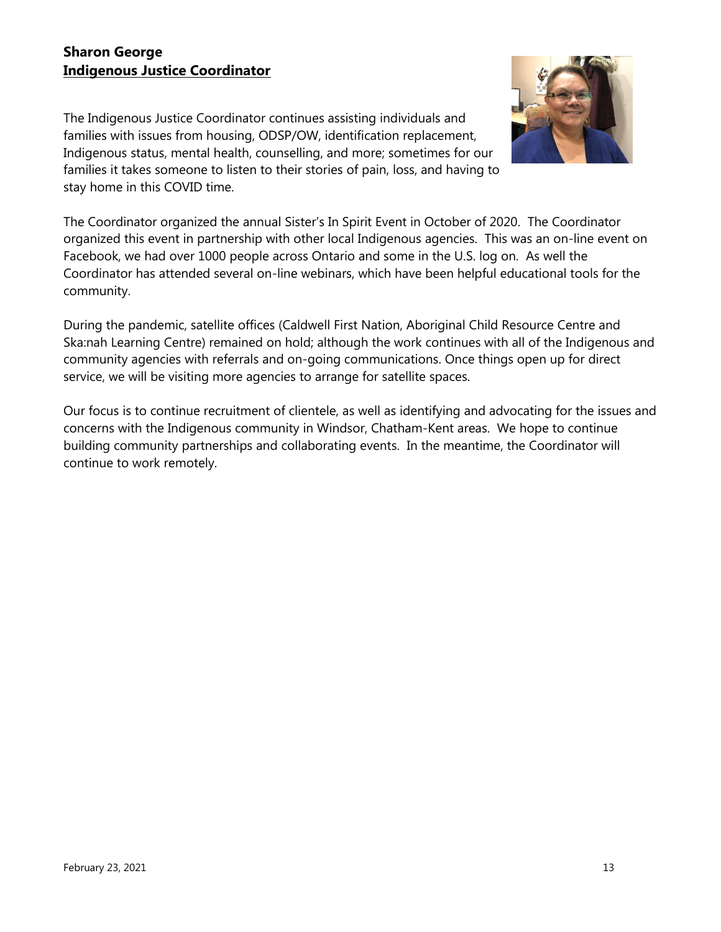## **Sharon George Indigenous Justice Coordinator**

The Indigenous Justice Coordinator continues assisting individuals and families with issues from housing, ODSP/OW, identification replacement, Indigenous status, mental health, counselling, and more; sometimes for our families it takes someone to listen to their stories of pain, loss, and having to stay home in this COVID time.



The Coordinator organized the annual Sister's In Spirit Event in October of 2020. The Coordinator organized this event in partnership with other local Indigenous agencies. This was an on-line event on Facebook, we had over 1000 people across Ontario and some in the U.S. log on. As well the Coordinator has attended several on-line webinars, which have been helpful educational tools for the community.

During the pandemic, satellite offices (Caldwell First Nation, Aboriginal Child Resource Centre and Ska:nah Learning Centre) remained on hold; although the work continues with all of the Indigenous and community agencies with referrals and on-going communications. Once things open up for direct service, we will be visiting more agencies to arrange for satellite spaces.

Our focus is to continue recruitment of clientele, as well as identifying and advocating for the issues and concerns with the Indigenous community in Windsor, Chatham-Kent areas. We hope to continue building community partnerships and collaborating events. In the meantime, the Coordinator will continue to work remotely.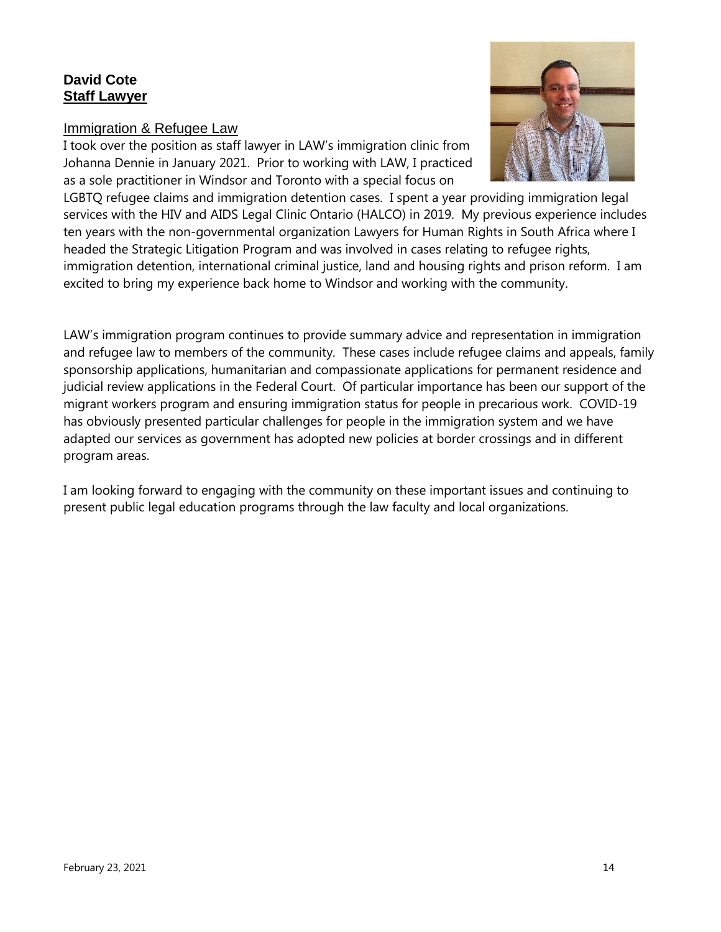## **David Cote Staff Lawyer**

#### Immigration & Refugee Law

I took over the position as staff lawyer in LAW's immigration clinic from Johanna Dennie in January 2021. Prior to working with LAW, I practiced as a sole practitioner in Windsor and Toronto with a special focus on



LGBTQ refugee claims and immigration detention cases. I spent a year providing immigration legal services with the HIV and AIDS Legal Clinic Ontario (HALCO) in 2019. My previous experience includes ten years with the non-governmental organization Lawyers for Human Rights in South Africa where I headed the Strategic Litigation Program and was involved in cases relating to refugee rights, immigration detention, international criminal justice, land and housing rights and prison reform. I am excited to bring my experience back home to Windsor and working with the community.

LAW's immigration program continues to provide summary advice and representation in immigration and refugee law to members of the community. These cases include refugee claims and appeals, family sponsorship applications, humanitarian and compassionate applications for permanent residence and judicial review applications in the Federal Court. Of particular importance has been our support of the migrant workers program and ensuring immigration status for people in precarious work. COVID-19 has obviously presented particular challenges for people in the immigration system and we have adapted our services as government has adopted new policies at border crossings and in different program areas.

I am looking forward to engaging with the community on these important issues and continuing to present public legal education programs through the law faculty and local organizations.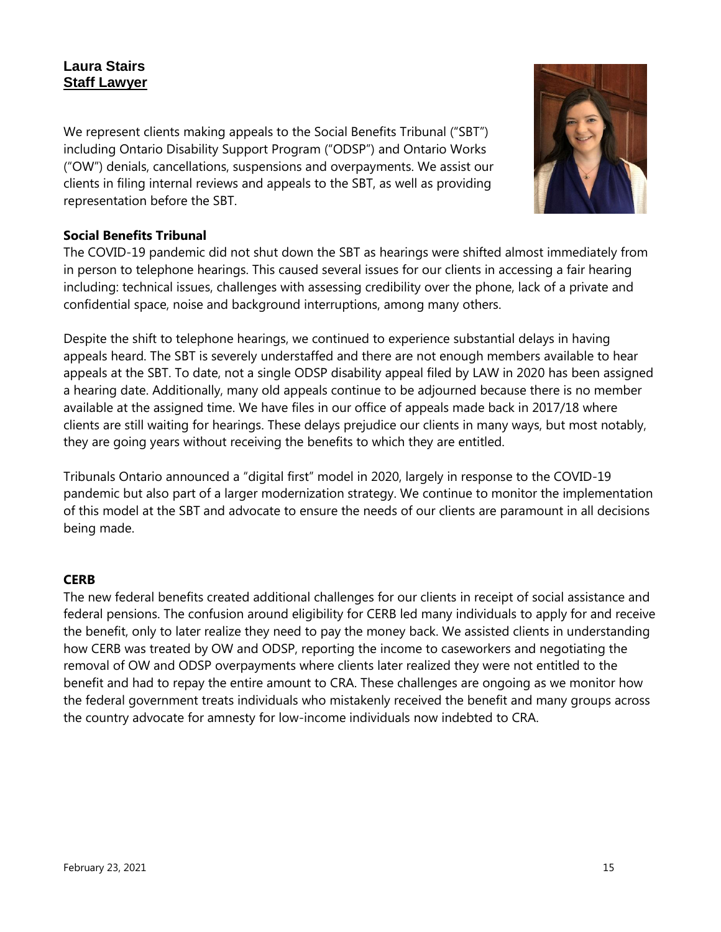## **Laura Stairs Staff Lawyer**

We represent clients making appeals to the Social Benefits Tribunal ("SBT") including Ontario Disability Support Program ("ODSP") and Ontario Works ("OW") denials, cancellations, suspensions and overpayments. We assist our clients in filing internal reviews and appeals to the SBT, as well as providing representation before the SBT.



### **Social Benefits Tribunal**

The COVID-19 pandemic did not shut down the SBT as hearings were shifted almost immediately from in person to telephone hearings. This caused several issues for our clients in accessing a fair hearing including: technical issues, challenges with assessing credibility over the phone, lack of a private and confidential space, noise and background interruptions, among many others.

Despite the shift to telephone hearings, we continued to experience substantial delays in having appeals heard. The SBT is severely understaffed and there are not enough members available to hear appeals at the SBT. To date, not a single ODSP disability appeal filed by LAW in 2020 has been assigned a hearing date. Additionally, many old appeals continue to be adjourned because there is no member available at the assigned time. We have files in our office of appeals made back in 2017/18 where clients are still waiting for hearings. These delays prejudice our clients in many ways, but most notably, they are going years without receiving the benefits to which they are entitled.

Tribunals Ontario announced a "digital first" model in 2020, largely in response to the COVID-19 pandemic but also part of a larger modernization strategy. We continue to monitor the implementation of this model at the SBT and advocate to ensure the needs of our clients are paramount in all decisions being made.

#### **CERB**

The new federal benefits created additional challenges for our clients in receipt of social assistance and federal pensions. The confusion around eligibility for CERB led many individuals to apply for and receive the benefit, only to later realize they need to pay the money back. We assisted clients in understanding how CERB was treated by OW and ODSP, reporting the income to caseworkers and negotiating the removal of OW and ODSP overpayments where clients later realized they were not entitled to the benefit and had to repay the entire amount to CRA. These challenges are ongoing as we monitor how the federal government treats individuals who mistakenly received the benefit and many groups across the country advocate for amnesty for low-income individuals now indebted to CRA.